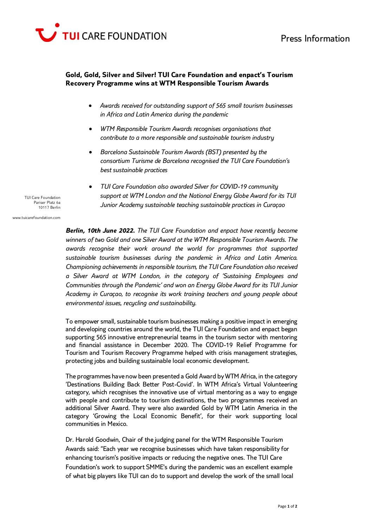

## **Gold, Gold, Silver and Silver! TUI Care Foundation and enpact's Tourism Recovery Programme wins at WTM Responsible Tourism Awards**

- *Awards received for outstanding support of 565 small tourism businesses in Africa and Latin America during the pandemic*
- *WTM Responsible Tourism Awards recognises organisations that contribute to a more responsible and sustainable tourism industry*
- *Barcelona Sustainable Tourism Awards (BST) presented by the consortium Turisme de Barcelona recognised the TUI Care Foundation's best sustainable practices*
- *TUI Care Foundation also awarded Silver for COVID-19 community support at WTM London and the National Energy Globe Award for its TUI Junior Academy sustainable teaching sustainable practices in Curaçao*

TUI Care Foundation Pariser Platz 6a 10117 Berlin

www.tuicarefoundation.com

*Berlin, 10th June 2022. The TUI Care Foundation and enpact have recently become winners of two Gold and one Silver Award at the WTM Responsible Tourism Awards. The awards recognise their work around the world for programmes that supported sustainable tourism businesses during the pandemic in Africa and Latin America. Championing achievements in responsible tourism, the TUI Care Foundation also received a Silver Award at WTM London, in the category of 'Sustaining Employees and Communities through the Pandemic' and won an Energy Globe Award for its TUI Junior Academy in Curaçao, to recognise its work training teachers and young people about environmental issues, recycling and sustainability.*

To empower small, sustainable tourism businesses making a positive impact in emerging and developing countries around the world, the TUI Care Foundation and enpact began supporting 565 innovative entrepreneurial teams in the tourism sector with mentoring and financial assistance in December 2020. The COVID-19 Relief Programme for Tourism and Tourism Recovery Programme helped with crisis management strategies, protecting jobs and building sustainable local economic development.

The programmes have now been presented a Gold Award by WTM Africa, in the category 'Destinations Building Back Better Post-Covid'. In WTM Africa's Virtual Volunteering category, which recognises the innovative use of virtual mentoring as a way to engage with people and contribute to tourism destinations, the two programmes received an additional Silver Award. They were also awarded Gold by WTM Latin America in the category 'Growing the Local Economic Benefit', for their work supporting local communities in Mexico.

Dr. Harold Goodwin, Chair of the judging panel for the WTM Responsible Tourism Awards said: "Each year we recognise businesses which have taken responsibility for enhancing tourism's positive impacts or reducing the negative ones. The TUI Care Foundation's work to support SMME's during the pandemic was an excellent example of what big players like TUI can do to support and develop the work of the small local